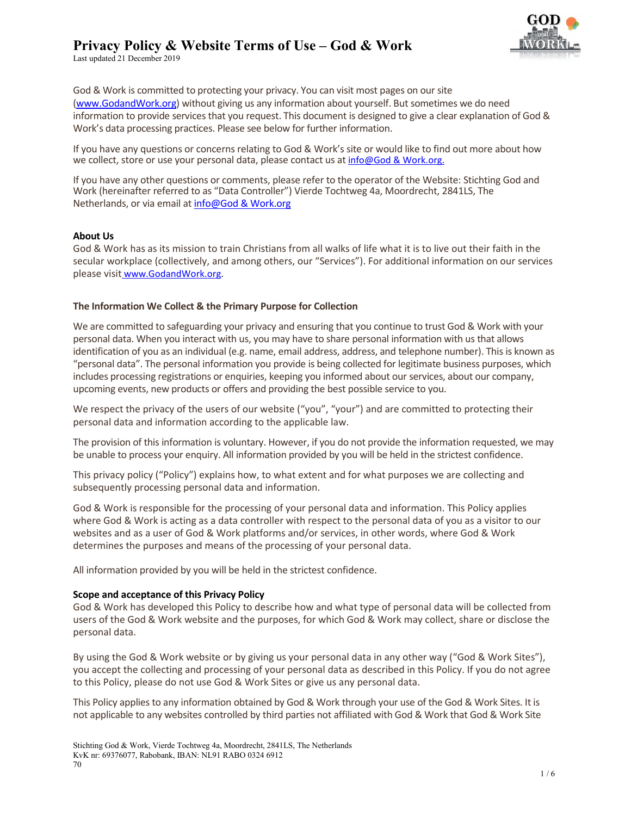

Last updated 21 December 2019

God & Work is committed to protecting your privacy. You can visit most pages on our site (www.GodandWork.org) without giving us any information about yourself. But sometimes we do need information to provide services that you request. This document is designed to give a clear explanation of God & Work's data processing practices. Please see below for further information.

If you have any questions or concerns relating to God & Work's site or would like to find out more about how we collect, store or use your personal data, please contact us at info@God & Work.org.

If you have any other questions or comments, please refer to the operator of the Website: Stichting God and Work (hereinafter referred to as "Data Controller") Vierde Tochtweg 4a, Moordrecht, 2841LS, The Netherlands, or via email at info@God & Work.org

# **About Us**

God & Work has as its mission to train Christians from all walks of life what it is to live out their faith in the secular workplace (collectively, and among others, our "Services"). For additional information on our services please visit www.GodandWork.org.

### **The Information We Collect & the Primary Purpose for Collection**

We are committed to safeguarding your privacy and ensuring that you continue to trust God & Work with your personal data. When you interact with us, you may have to share personal information with us that allows identification of you as an individual (e.g. name, email address, address, and telephone number). This is known as "personal data". The personal information you provide is being collected for legitimate business purposes, which includes processing registrations or enquiries, keeping you informed about our services, about our company, upcoming events, new products or offers and providing the best possible service to you.

We respect the privacy of the users of our website ("you", "your") and are committed to protecting their personal data and information according to the applicable law.

The provision of this information is voluntary. However, if you do not provide the information requested, we may be unable to process your enquiry. All information provided by you will be held in the strictest confidence.

This privacy policy ("Policy") explains how, to what extent and for what purposes we are collecting and subsequently processing personal data and information.

God & Work is responsible for the processing of your personal data and information. This Policy applies where God & Work is acting as a data controller with respect to the personal data of you as a visitor to our websites and as a user of God & Work platforms and/or services, in other words, where God & Work determines the purposes and means of the processing of your personal data.

All information provided by you will be held in the strictest confidence.

#### **Scope and acceptance of this Privacy Policy**

God & Work has developed this Policy to describe how and what type of personal data will be collected from users of the God & Work website and the purposes, for which God & Work may collect, share or disclose the personal data.

By using the God & Work website or by giving us your personal data in any other way ("God & Work Sites"), you accept the collecting and processing of your personal data as described in this Policy. If you do not agree to this Policy, please do not use God & Work Sites or give us any personal data.

This Policy applies to any information obtained by God & Work through your use of the God & Work Sites. It is not applicable to any websites controlled by third parties not affiliated with God & Work that God & Work Site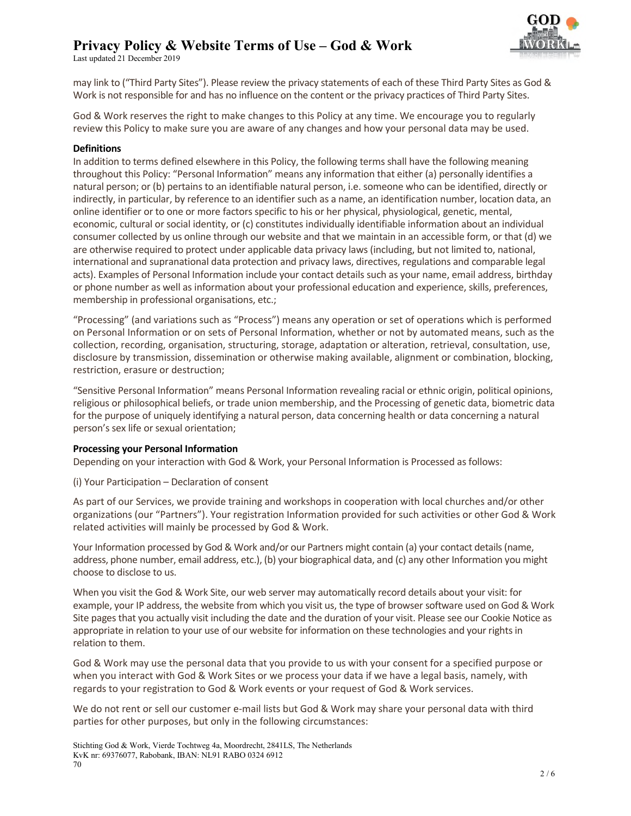Last updated 21 December 2019



may link to ("Third Party Sites"). Please review the privacy statements of each of these Third Party Sites as God & Work is not responsible for and has no influence on the content or the privacy practices of Third Party Sites.

God & Work reserves the right to make changes to this Policy at any time. We encourage you to regularly review this Policy to make sure you are aware of any changes and how your personal data may be used.

### **Definitions**

In addition to terms defined elsewhere in this Policy, the following terms shall have the following meaning throughout this Policy: "Personal Information" means any information that either (a) personally identifies a natural person; or (b) pertains to an identifiable natural person, i.e. someone who can be identified, directly or indirectly, in particular, by reference to an identifier such as a name, an identification number, location data, an online identifier or to one or more factors specific to his or her physical, physiological, genetic, mental, economic, cultural or social identity, or (c) constitutes individually identifiable information about an individual consumer collected by us online through our website and that we maintain in an accessible form, or that (d) we are otherwise required to protect under applicable data privacy laws (including, but not limited to, national, international and supranational data protection and privacy laws, directives, regulations and comparable legal acts). Examples of Personal Information include your contact details such as your name, email address, birthday or phone number as well as information about your professional education and experience, skills, preferences, membership in professional organisations, etc.;

"Processing" (and variations such as "Process") means any operation or set of operations which is performed on Personal Information or on sets of Personal Information, whether or not by automated means, such as the collection, recording, organisation, structuring, storage, adaptation or alteration, retrieval, consultation, use, disclosure by transmission, dissemination or otherwise making available, alignment or combination, blocking, restriction, erasure or destruction;

"Sensitive Personal Information" means Personal Information revealing racial or ethnic origin, political opinions, religious or philosophical beliefs, or trade union membership, and the Processing of genetic data, biometric data for the purpose of uniquely identifying a natural person, data concerning health or data concerning a natural person's sex life or sexual orientation;

# **Processing your Personal Information**

Depending on your interaction with God & Work, your Personal Information is Processed as follows:

(i) Your Participation – Declaration of consent

As part of our Services, we provide training and workshops in cooperation with local churches and/or other organizations (our "Partners"). Your registration Information provided for such activities or other God & Work related activities will mainly be processed by God & Work.

Your Information processed by God & Work and/or our Partners might contain (a) your contact details (name, address, phone number, email address, etc.), (b) your biographical data, and (c) any other Information you might choose to disclose to us.

When you visit the God & Work Site, our web server may automatically record details about your visit: for example, your IP address, the website from which you visit us, the type of browser software used on God & Work Site pages that you actually visit including the date and the duration of your visit. Please see our Cookie Notice as appropriate in relation to your use of our website for information on these technologies and your rights in relation to them.

God & Work may use the personal data that you provide to us with your consent for a specified purpose or when you interact with God & Work Sites or we process your data if we have a legal basis, namely, with regards to your registration to God & Work events or your request of God & Work services.

We do not rent or sell our customer e-mail lists but God & Work may share your personal data with third parties for other purposes, but only in the following circumstances: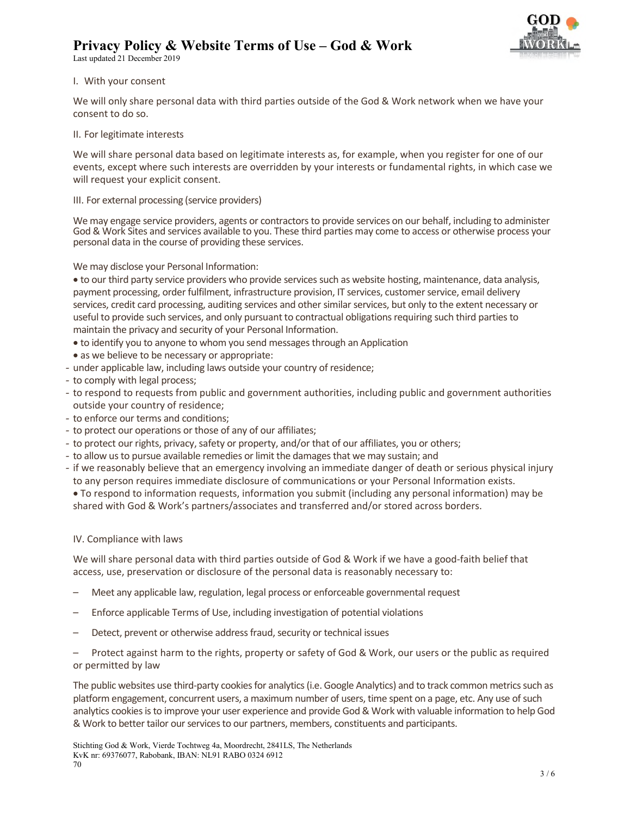Last updated 21 December 2019



# I. With your consent

We will only share personal data with third parties outside of the God & Work network when we have your consent to do so.

# II. For legitimate interests

We will share personal data based on legitimate interests as, for example, when you register for one of our events, except where such interests are overridden by your interests or fundamental rights, in which case we will request your explicit consent.

# III. For external processing (service providers)

We may engage service providers, agents or contractors to provide services on our behalf, including to administer God & Work Sites and services available to you. These third parties may come to access or otherwise process your personal data in the course of providing these services.

We may disclose your Personal Information:

 to our third party service providers who provide services such as website hosting, maintenance, data analysis, payment processing, order fulfilment, infrastructure provision, IT services, customer service, email delivery services, credit card processing, auditing services and other similar services, but only to the extent necessary or useful to provide such services, and only pursuant to contractual obligations requiring such third parties to maintain the privacy and security of your Personal Information.

- to identify you to anyone to whom you send messages through an Application
- as we believe to be necessary or appropriate:
- under applicable law, including laws outside your country of residence;
- to comply with legal process;
- to respond to requests from public and government authorities, including public and government authorities outside your country of residence;
- to enforce our terms and conditions;
- to protect our operations or those of any of our affiliates;
- to protect our rights, privacy, safety or property, and/or that of our affiliates, you or others;
- to allow us to pursue available remedies or limit the damages that we may sustain; and
- if we reasonably believe that an emergency involving an immediate danger of death or serious physical injury to any person requires immediate disclosure of communications or your Personal Information exists.
- To respond to information requests, information you submit (including any personal information) may be shared with God & Work's partners/associates and transferred and/or stored across borders.

# IV. Compliance with laws

We will share personal data with third parties outside of God & Work if we have a good-faith belief that access, use, preservation or disclosure of the personal data is reasonably necessary to:

- Meet any applicable law, regulation, legal process or enforceable governmental request
- Enforce applicable Terms of Use, including investigation of potential violations
- Detect, prevent or otherwise address fraud, security or technical issues

– Protect against harm to the rights, property or safety of God & Work, our users or the public as required or permitted by law

The public websites use third-party cookies for analytics (i.e. Google Analytics) and to track common metrics such as platform engagement, concurrent users, a maximum number of users, time spent on a page, etc. Any use of such analytics cookies is to improve your user experience and provide God & Work with valuable information to help God & Work to better tailor our services to our partners, members, constituents and participants.

Stichting God & Work, Vierde Tochtweg 4a, Moordrecht, 2841LS, The Netherlands KvK nr: 69376077, Rabobank, IBAN: NL91 RABO 0324 6912 70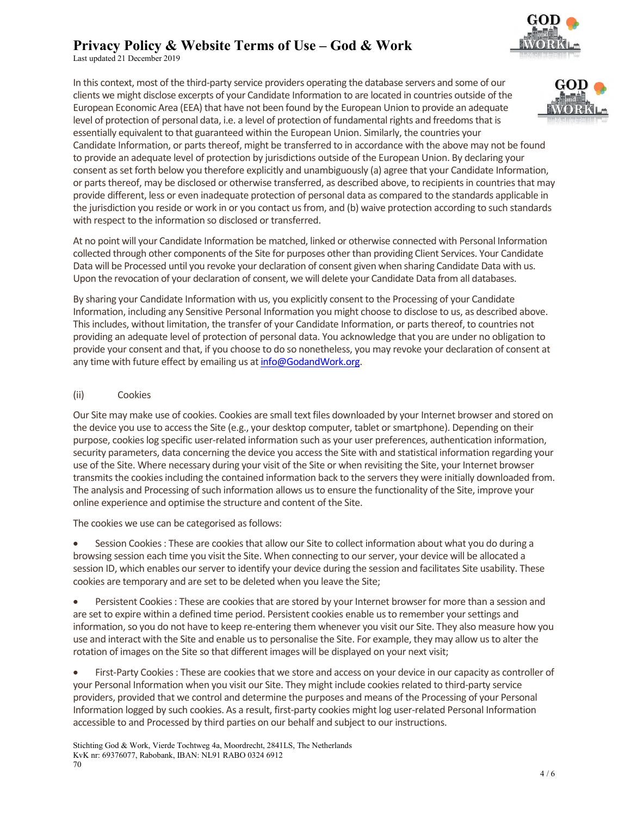Last updated 21 December 2019

In this context, most of the third-party service providers operating the database servers and some of our clients we might disclose excerpts of your Candidate Information to are located in countries outside of the European Economic Area (EEA) that have not been found by the European Union to provide an adequate level of protection of personal data, i.e. a level of protection of fundamental rights and freedoms that is essentially equivalent to that guaranteed within the European Union. Similarly, the countries your Candidate Information, or parts thereof, might be transferred to in accordance with the above may not be found to provide an adequate level of protection by jurisdictions outside of the European Union. By declaring your consent as set forth below you therefore explicitly and unambiguously (a) agree that your Candidate Information, or parts thereof, may be disclosed or otherwise transferred, as described above, to recipients in countries that may provide different, less or even inadequate protection of personal data as compared to the standards applicable in the jurisdiction you reside or work in or you contact us from, and (b) waive protection according to such standards with respect to the information so disclosed or transferred.

At no point will your Candidate Information be matched, linked or otherwise connected with Personal Information collected through other components of the Site for purposes other than providing Client Services. Your Candidate Data will be Processed until you revoke your declaration of consent given when sharing Candidate Data with us. Upon the revocation of your declaration of consent, we will delete your Candidate Data from all databases.

By sharing your Candidate Information with us, you explicitly consent to the Processing of your Candidate Information, including any Sensitive Personal Information you might choose to disclose to us, as described above. This includes, without limitation, the transfer of your Candidate Information, or parts thereof, to countries not providing an adequate level of protection of personal data. You acknowledge that you are under no obligation to provide your consent and that, if you choose to do so nonetheless, you may revoke your declaration of consent at any time with future effect by emailing us at info@GodandWork.org.

(ii) Cookies

Our Site may make use of cookies. Cookies are small text files downloaded by your Internet browser and stored on the device you use to access the Site (e.g., your desktop computer, tablet or smartphone). Depending on their purpose, cookies log specific user-related information such as your user preferences, authentication information, security parameters, data concerning the device you access the Site with and statistical information regarding your use of the Site. Where necessary during your visit of the Site or when revisiting the Site, your Internet browser transmits the cookies including the contained information back to the servers they were initially downloaded from. The analysis and Processing of such information allows us to ensure the functionality of the Site, improve your online experience and optimise the structure and content of the Site.

The cookies we use can be categorised as follows:

 Session Cookies : These are cookies that allow our Site to collect information about what you do during a browsing session each time you visit the Site. When connecting to our server, your device will be allocated a session ID, which enables our server to identify your device during the session and facilitates Site usability. These cookies are temporary and are set to be deleted when you leave the Site;

 Persistent Cookies : These are cookies that are stored by your Internet browser for more than a session and are set to expire within a defined time period. Persistent cookies enable us to remember your settings and information, so you do not have to keep re-entering them whenever you visit our Site. They also measure how you use and interact with the Site and enable us to personalise the Site. For example, they may allow us to alter the rotation of images on the Site so that different images will be displayed on your next visit;

 First-Party Cookies : These are cookies that we store and access on your device in our capacity as controller of your Personal Information when you visit our Site. They might include cookies related to third-party service providers, provided that we control and determine the purposes and means of the Processing of your Personal Information logged by such cookies. As a result, first-party cookies might log user-related Personal Information accessible to and Processed by third parties on our behalf and subject to our instructions.

![](_page_3_Picture_13.jpeg)

![](_page_3_Picture_14.jpeg)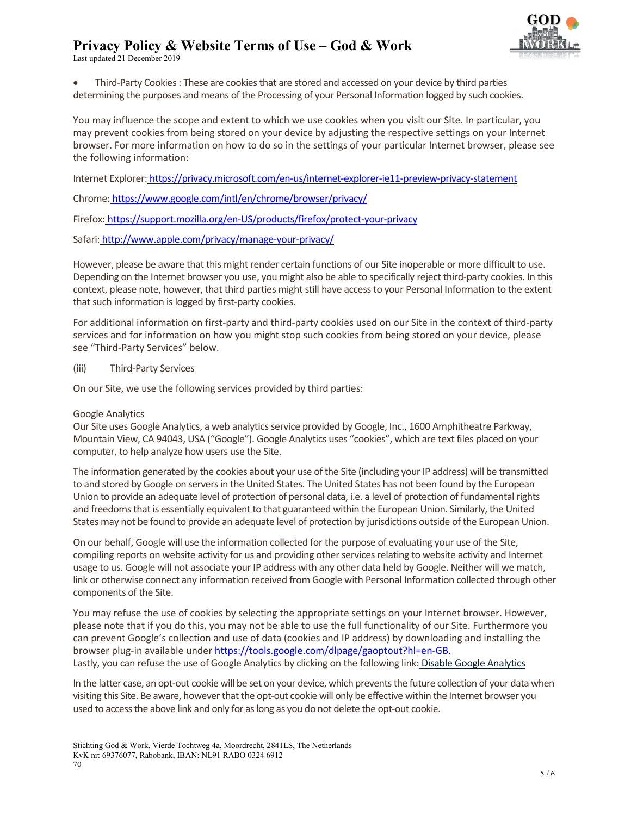Last updated 21 December 2019

![](_page_4_Picture_2.jpeg)

 Third-Party Cookies : These are cookies that are stored and accessed on your device by third parties determining the purposes and means of the Processing of your Personal Information logged by such cookies.

You may influence the scope and extent to which we use cookies when you visit our Site. In particular, you may prevent cookies from being stored on your device by adjusting the respective settings on your Internet browser. For more information on how to do so in the settings of your particular Internet browser, please see the following information:

Internet Explorer: https://privacy.microsoft.com/en-us/internet-explorer-ie11-preview-privacy-statement

Chrome: https://www.google.com/intl/en/chrome/browser/privacy/

Firefox: https://support.mozilla.org/en-US/products/firefox/protect-your-privacy

Safari: http://www.apple.com/privacy/manage-your-privacy/

However, please be aware that this might render certain functions of our Site inoperable or more difficult to use. Depending on the Internet browser you use, you might also be able to specifically reject third-party cookies. In this context, please note, however, that third parties might still have access to your Personal Information to the extent that such information is logged by first-party cookies.

For additional information on first-party and third-party cookies used on our Site in the context of third-party services and for information on how you might stop such cookies from being stored on your device, please see "Third-Party Services" below.

### (iii) Third-Party Services

On our Site, we use the following services provided by third parties:

### Google Analytics

Our Site uses Google Analytics, a web analytics service provided by Google, Inc., 1600 Amphitheatre Parkway, Mountain View, CA 94043, USA ("Google"). Google Analytics uses "cookies", which are text files placed on your computer, to help analyze how users use the Site.

The information generated by the cookies about your use of the Site (including your IP address) will be transmitted to and stored by Google on servers in the United States. The United States has not been found by the European Union to provide an adequate level of protection of personal data, i.e. a level of protection of fundamental rights and freedoms that is essentially equivalent to that guaranteed within the European Union. Similarly, the United States may not be found to provide an adequate level of protection by jurisdictions outside of the European Union.

On our behalf, Google will use the information collected for the purpose of evaluating your use of the Site, compiling reports on website activity for us and providing other services relating to website activity and Internet usage to us. Google will not associate your IP address with any other data held by Google. Neither will we match, link or otherwise connect any information received from Google with Personal Information collected through other components of the Site.

You may refuse the use of cookies by selecting the appropriate settings on your Internet browser. However, please note that if you do this, you may not be able to use the full functionality of our Site. Furthermore you can prevent Google's collection and use of data (cookies and IP address) by downloading and installing the browser plug-in available under https://tools.google.com/dlpage/gaoptout?hl=en-GB. Lastly, you can refuse the use of Google Analytics by clicking on the following link: Disable Google Analytics

In the latter case, an opt-out cookie will be set on your device, which prevents the future collection of your data when visiting this Site. Be aware, however that the opt-out cookie will only be effective within the Internet browser you used to access the above link and only for as long as you do not delete the opt-out cookie.